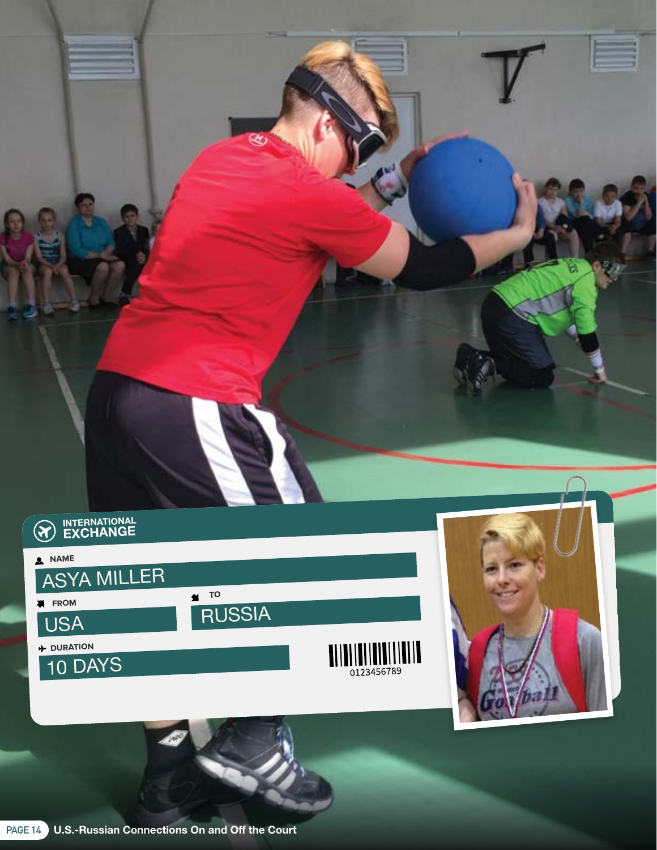

**+ DURATION** 

10 DAYS

ASYA MILLER **NAME FROM TO** USA RUSSIA





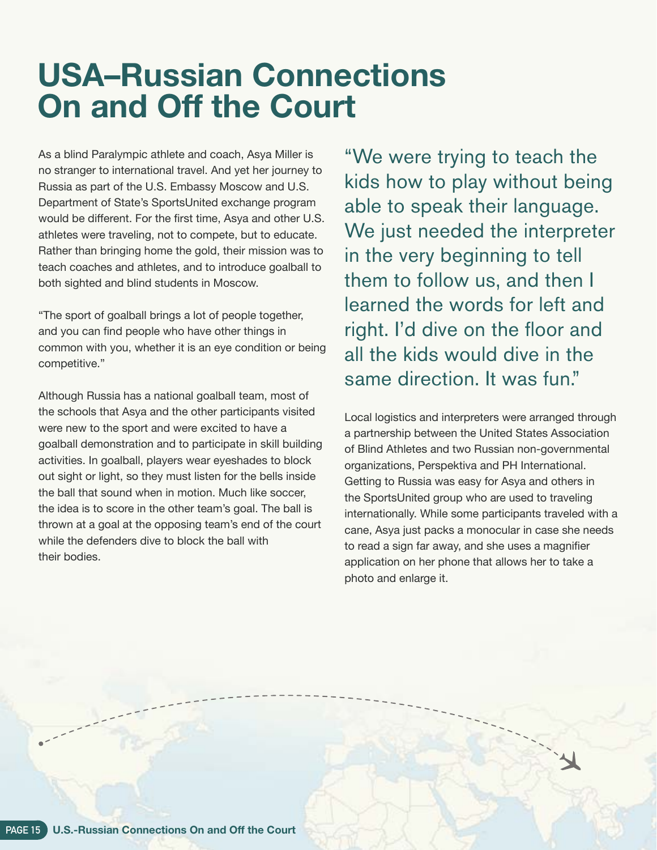## **USA–Russian Connections On and Off the Court**

As a blind Paralympic athlete and coach, Asya Miller is no stranger to international travel. And yet her journey to Russia as part of the U.S. Embassy Moscow and U.S. Department of State's SportsUnited exchange program would be different. For the first time, Asya and other U.S. athletes were traveling, not to compete, but to educate. Rather than bringing home the gold, their mission was to teach coaches and athletes, and to introduce goalball to both sighted and blind students in Moscow.

"The sport of goalball brings a lot of people together, and you can find people who have other things in common with you, whether it is an eye condition or being competitive."

Although Russia has a national goalball team, most of the schools that Asya and the other participants visited were new to the sport and were excited to have a goalball demonstration and to participate in skill building activities. In goalball, players wear eyeshades to block out sight or light, so they must listen for the bells inside the ball that sound when in motion. Much like soccer, the idea is to score in the other team's goal. The ball is thrown at a goal at the opposing team's end of the court while the defenders dive to block the ball with their bodies.

"We were trying to teach the kids how to play without being able to speak their language. We just needed the interpreter in the very beginning to tell them to follow us, and then I learned the words for left and right. I'd dive on the floor and all the kids would dive in the same direction. It was fun"

Local logistics and interpreters were arranged through a partnership between the United States Association of Blind Athletes and two Russian non-governmental organizations, Perspektiva and PH International. Getting to Russia was easy for Asya and others in the SportsUnited group who are used to traveling internationally. While some participants traveled with a cane, Asya just packs a monocular in case she needs to read a sign far away, and she uses a magnifier application on her phone that allows her to take a photo and enlarge it.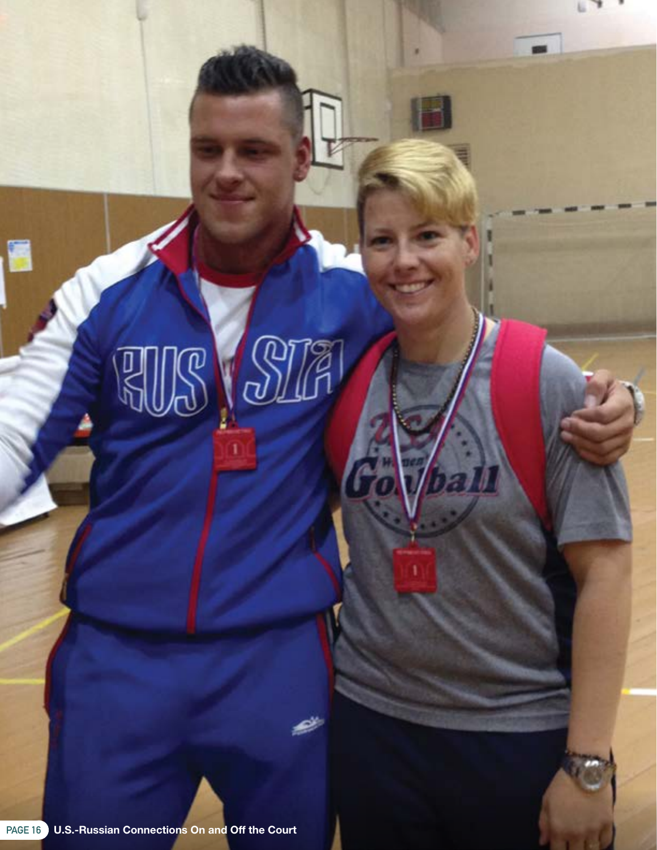